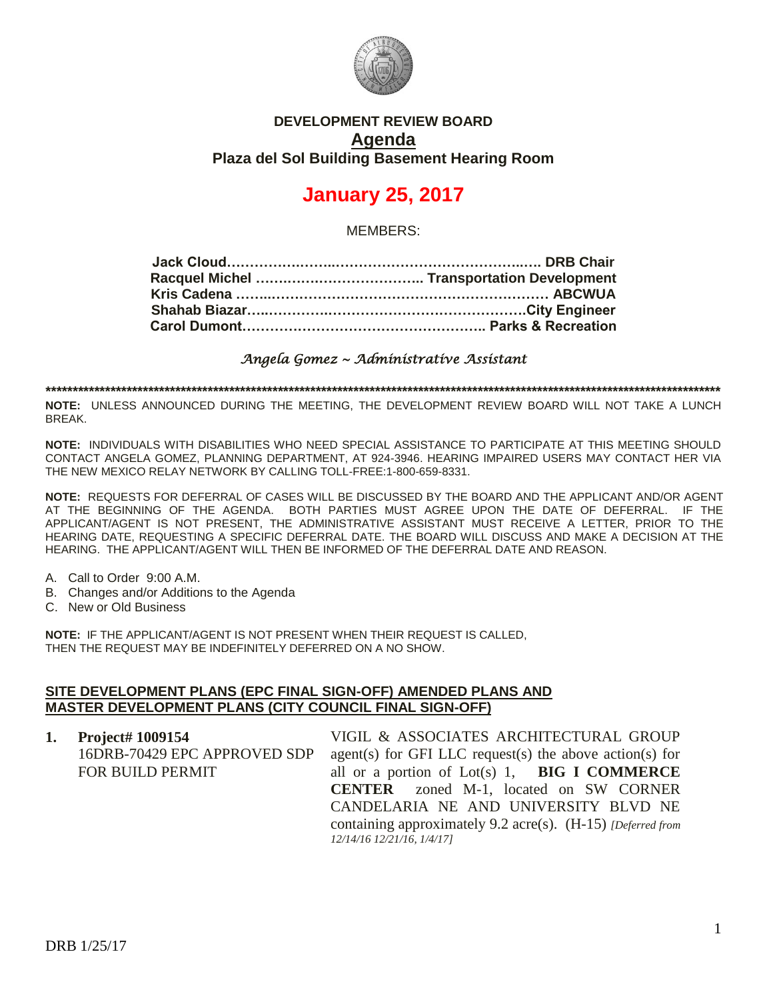

## **DEVELOPMENT REVIEW BOARD Agenda Plaza del Sol Building Basement Hearing Room**

# **January 25, 2017**

MEMBERS:

*Angela Gomez ~ Administrative Assistant* 

**\*\*\*\*\*\*\*\*\*\*\*\*\*\*\*\*\*\*\*\*\*\*\*\*\*\*\*\*\*\*\*\*\*\*\*\*\*\*\*\*\*\*\*\*\*\*\*\*\*\*\*\*\*\*\*\*\*\*\*\*\*\*\*\*\*\*\*\*\*\*\*\*\*\*\*\*\*\*\*\*\*\*\*\*\*\*\*\*\*\*\*\*\*\*\*\*\*\*\*\*\*\*\*\*\*\*\*\*\*\*\*\*\*\*\*\*\*\*\*\*\*\*\*\*\***

**NOTE:** UNLESS ANNOUNCED DURING THE MEETING, THE DEVELOPMENT REVIEW BOARD WILL NOT TAKE A LUNCH BREAK.

**NOTE:** INDIVIDUALS WITH DISABILITIES WHO NEED SPECIAL ASSISTANCE TO PARTICIPATE AT THIS MEETING SHOULD CONTACT ANGELA GOMEZ, PLANNING DEPARTMENT, AT 924-3946. HEARING IMPAIRED USERS MAY CONTACT HER VIA THE NEW MEXICO RELAY NETWORK BY CALLING TOLL-FREE:1-800-659-8331.

**NOTE:** REQUESTS FOR DEFERRAL OF CASES WILL BE DISCUSSED BY THE BOARD AND THE APPLICANT AND/OR AGENT AT THE BEGINNING OF THE AGENDA. BOTH PARTIES MUST AGREE UPON THE DATE OF DEFERRAL. IF THE APPLICANT/AGENT IS NOT PRESENT, THE ADMINISTRATIVE ASSISTANT MUST RECEIVE A LETTER, PRIOR TO THE HEARING DATE, REQUESTING A SPECIFIC DEFERRAL DATE. THE BOARD WILL DISCUSS AND MAKE A DECISION AT THE HEARING. THE APPLICANT/AGENT WILL THEN BE INFORMED OF THE DEFERRAL DATE AND REASON.

- A. Call to Order 9:00 A.M.
- B. Changes and/or Additions to the Agenda
- C. New or Old Business

**NOTE:** IF THE APPLICANT/AGENT IS NOT PRESENT WHEN THEIR REQUEST IS CALLED, THEN THE REQUEST MAY BE INDEFINITELY DEFERRED ON A NO SHOW.

#### **SITE DEVELOPMENT PLANS (EPC FINAL SIGN-OFF) AMENDED PLANS AND MASTER DEVELOPMENT PLANS (CITY COUNCIL FINAL SIGN-OFF)**

| 1. Project# $1009154$        | VIGIL & ASSOCIATES ARCHITECTURAL GROUP                        |
|------------------------------|---------------------------------------------------------------|
| 16DRB-70429 EPC APPROVED SDP | agent(s) for GFI LLC request(s) the above action(s) for       |
| FOR BUILD PERMIT             | all or a portion of $Lot(s)$ 1, <b>BIG I COMMERCE</b>         |
|                              | <b>CENTER</b> zoned M-1, located on SW CORNER                 |
|                              | CANDELARIA NE AND UNIVERSITY BLVD NE                          |
|                              | containing approximately 9.2 acre(s). $(H-15)$ [Deferred from |
|                              | 12/14/16 12/21/16, 1/4/171                                    |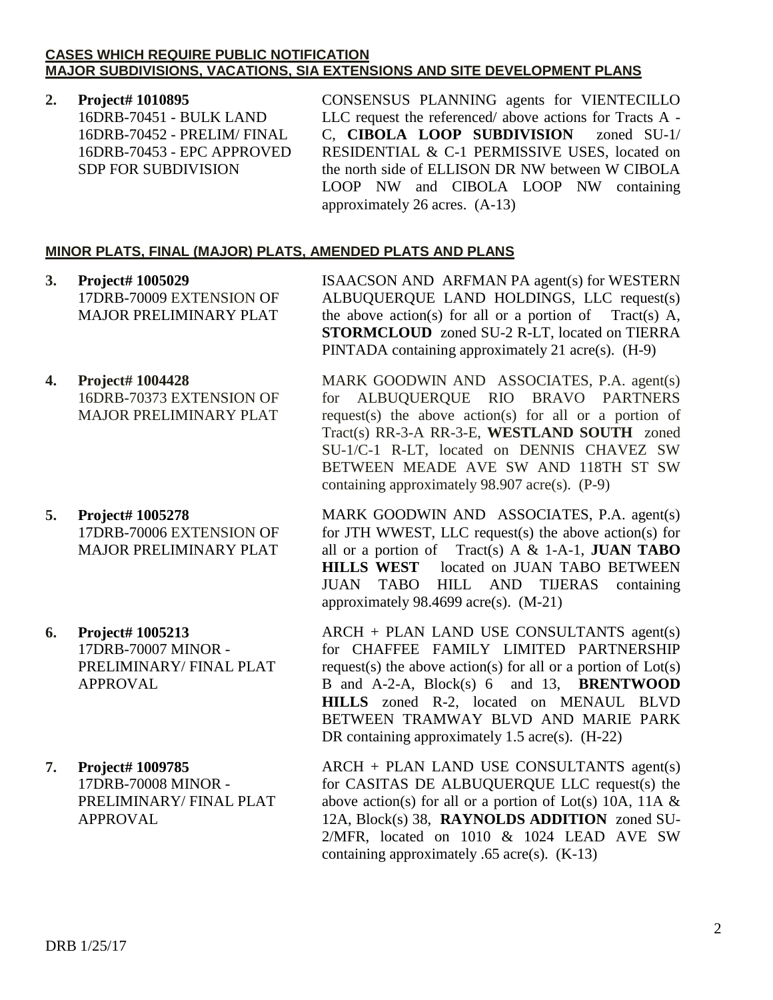### **CASES WHICH REQUIRE PUBLIC NOTIFICATION MAJOR SUBDIVISIONS, VACATIONS, SIA EXTENSIONS AND SITE DEVELOPMENT PLANS**

### **2. Project# 1010895**

16DRB-70451 - BULK LAND 16DRB-70452 - PRELIM/ FINAL 16DRB-70453 - EPC APPROVED SDP FOR SUBDIVISION

CONSENSUS PLANNING agents for VIENTECILLO LLC request the referenced/ above actions for Tracts A - C, **CIBOLA LOOP SUBDIVISION** zoned SU-1/ RESIDENTIAL & C-1 PERMISSIVE USES, located on the north side of ELLISON DR NW between W CIBOLA LOOP NW and CIBOLA LOOP NW containing approximately 26 acres. (A-13)

## **MINOR PLATS, FINAL (MAJOR) PLATS, AMENDED PLATS AND PLANS**

- **3. Project# 1005029** 17DRB-70009 EXTENSION OF MAJOR PRELIMINARY PLAT
- **4. Project# 1004428** 16DRB-70373 EXTENSION OF MAJOR PRELIMINARY PLAT
- **5. Project# 1005278** 17DRB-70006 EXTENSION OF MAJOR PRELIMINARY PLAT
- **6. Project# 1005213** 17DRB-70007 MINOR - PRELIMINARY/ FINAL PLAT APPROVAL
- **7. Project# 1009785** 17DRB-70008 MINOR - PRELIMINARY/ FINAL PLAT APPROVAL

ISAACSON AND ARFMAN PA agent(s) for WESTERN ALBUQUERQUE LAND HOLDINGS, LLC request(s) the above action(s) for all or a portion of Tract(s)  $A$ , **STORMCLOUD** zoned SU-2 R-LT, located on TIERRA PINTADA containing approximately 21 acre(s). (H-9)

MARK GOODWIN AND ASSOCIATES, P.A. agent(s) for ALBUQUERQUE RIO BRAVO PARTNERS request(s) the above action(s) for all or a portion of Tract(s) RR-3-A RR-3-E, **WESTLAND SOUTH** zoned SU-1/C-1 R-LT, located on DENNIS CHAVEZ SW BETWEEN MEADE AVE SW AND 118TH ST SW containing approximately 98.907 acre(s). (P-9)

MARK GOODWIN AND ASSOCIATES, P.A. agent(s) for JTH WWEST, LLC request(s) the above action(s) for all or a portion of Tract(s) A & 1-A-1, **JUAN TABO HILLS WEST** located on JUAN TABO BETWEEN JUAN TABO HILL AND TIJERAS containing approximately 98.4699 acre(s). (M-21)

ARCH + PLAN LAND USE CONSULTANTS agent(s) for CHAFFEE FAMILY LIMITED PARTNERSHIP request(s) the above action(s) for all or a portion of  $Lot(s)$ B and A-2-A, Block(s) 6 and 13, **BRENTWOOD HILLS** zoned R-2, located on MENAUL BLVD BETWEEN TRAMWAY BLVD AND MARIE PARK DR containing approximately 1.5 acre(s). (H-22)

ARCH + PLAN LAND USE CONSULTANTS agent(s) for CASITAS DE ALBUQUERQUE LLC request(s) the above action(s) for all or a portion of Lot(s) 10A, 11A  $\&$ 12A, Block(s) 38, **RAYNOLDS ADDITION** zoned SU-2/MFR, located on 1010 & 1024 LEAD AVE SW containing approximately  $.65$  acre(s).  $(K-13)$